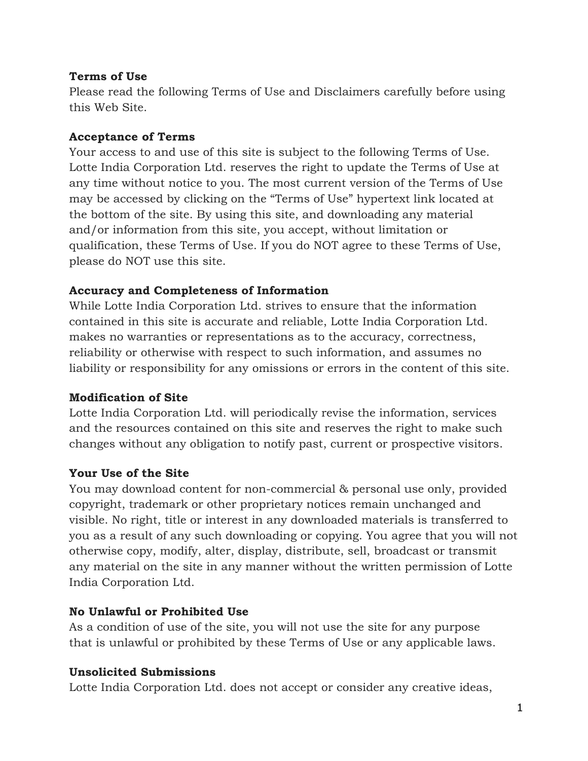### **Terms of Use**

Please read the following Terms of Use and Disclaimers carefully before using this Web Site.

#### **Acceptance of Terms**

Your access to and use of this site is subject to the following Terms of Use. Lotte India Corporation Ltd. reserves the right to update the Terms of Use at any time without notice to you. The most current version of the Terms of Use may be accessed by clicking on the "Terms of Use" hypertext link located at the bottom of the site. By using this site, and downloading any material and/or information from this site, you accept, without limitation or qualification, these Terms of Use. If you do NOT agree to these Terms of Use, please do NOT use this site.

### **Accuracy and Completeness of Information**

While Lotte India Corporation Ltd. strives to ensure that the information contained in this site is accurate and reliable, Lotte India Corporation Ltd. makes no warranties or representations as to the accuracy, correctness, reliability or otherwise with respect to such information, and assumes no liability or responsibility for any omissions or errors in the content of this site.

#### **Modification of Site**

Lotte India Corporation Ltd. will periodically revise the information, services and the resources contained on this site and reserves the right to make such changes without any obligation to notify past, current or prospective visitors.

### **Your Use of the Site**

You may download content for non-commercial & personal use only, provided copyright, trademark or other proprietary notices remain unchanged and visible. No right, title or interest in any downloaded materials is transferred to you as a result of any such downloading or copying. You agree that you will not otherwise copy, modify, alter, display, distribute, sell, broadcast or transmit any material on the site in any manner without the written permission of Lotte India Corporation Ltd.

### **No Unlawful or Prohibited Use**

As a condition of use of the site, you will not use the site for any purpose that is unlawful or prohibited by these Terms of Use or any applicable laws.

#### **Unsolicited Submissions**

Lotte India Corporation Ltd. does not accept or consider any creative ideas,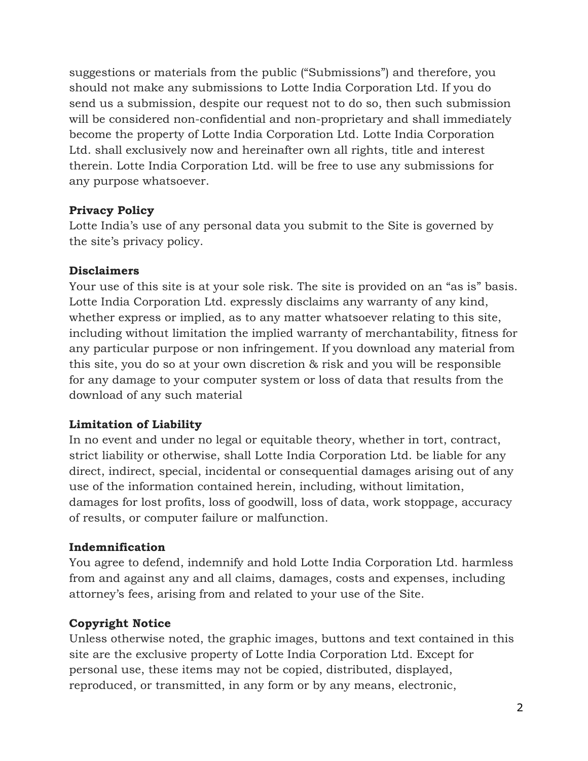suggestions or materials from the public ("Submissions") and therefore, you should not make any submissions to Lotte India Corporation Ltd. If you do send us a submission, despite our request not to do so, then such submission will be considered non-confidential and non-proprietary and shall immediately become the property of Lotte India Corporation Ltd. Lotte India Corporation Ltd. shall exclusively now and hereinafter own all rights, title and interest therein. Lotte India Corporation Ltd. will be free to use any submissions for any purpose whatsoever.

### **Privacy Policy**

Lotte India's use of any personal data you submit to the Site is governed by the site's privacy policy.

### **Disclaimers**

Your use of this site is at your sole risk. The site is provided on an "as is" basis. Lotte India Corporation Ltd. expressly disclaims any warranty of any kind, whether express or implied, as to any matter whatsoever relating to this site, including without limitation the implied warranty of merchantability, fitness for any particular purpose or non infringement. If you download any material from this site, you do so at your own discretion & risk and you will be responsible for any damage to your computer system or loss of data that results from the download of any such material

### **Limitation of Liability**

In no event and under no legal or equitable theory, whether in tort, contract, strict liability or otherwise, shall Lotte India Corporation Ltd. be liable for any direct, indirect, special, incidental or consequential damages arising out of any use of the information contained herein, including, without limitation, damages for lost profits, loss of goodwill, loss of data, work stoppage, accuracy of results, or computer failure or malfunction.

#### **Indemnification**

You agree to defend, indemnify and hold Lotte India Corporation Ltd. harmless from and against any and all claims, damages, costs and expenses, including attorney's fees, arising from and related to your use of the Site.

### **Copyright Notice**

Unless otherwise noted, the graphic images, buttons and text contained in this site are the exclusive property of Lotte India Corporation Ltd. Except for personal use, these items may not be copied, distributed, displayed, reproduced, or transmitted, in any form or by any means, electronic,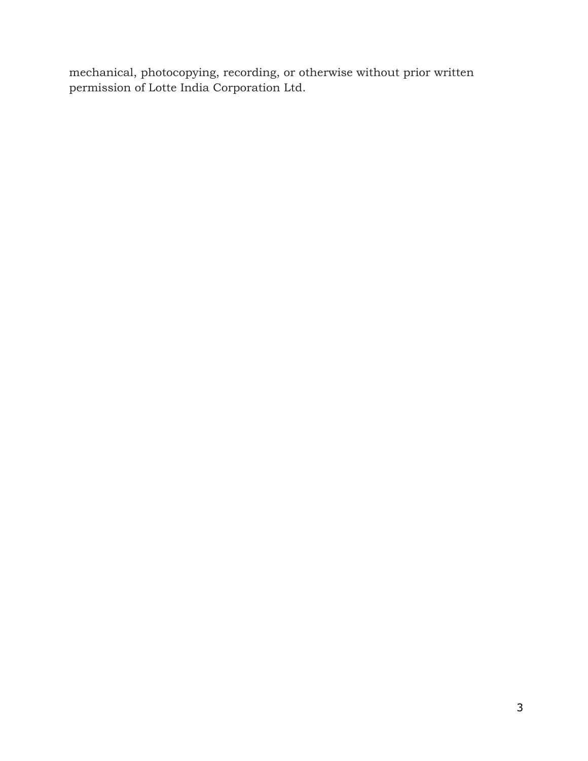mechanical, photocopying, recording, or otherwise without prior written permission of Lotte India Corporation Ltd.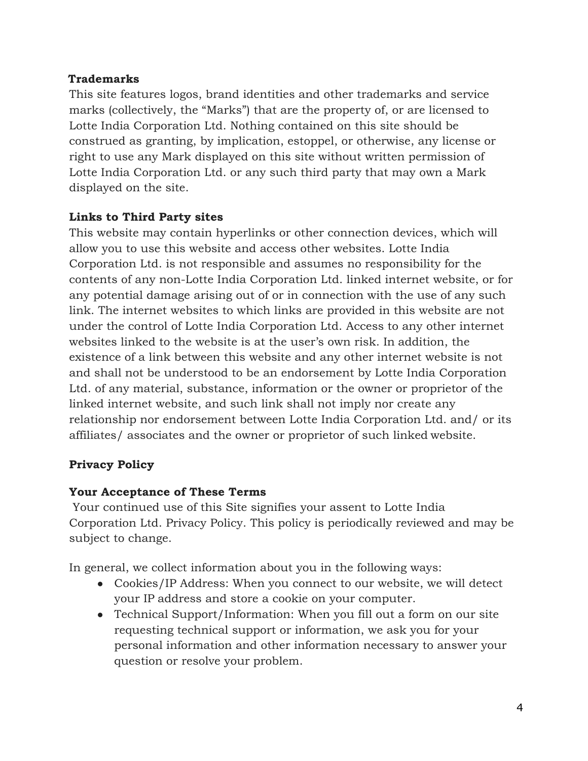## **Trademarks**

This site features logos, brand identities and other trademarks and service marks (collectively, the "Marks") that are the property of, or are licensed to Lotte India Corporation Ltd. Nothing contained on this site should be construed as granting, by implication, estoppel, or otherwise, any license or right to use any Mark displayed on this site without written permission of Lotte India Corporation Ltd. or any such third party that may own a Mark displayed on the site.

## **Links to Third Party sites**

This website may contain hyperlinks or other connection devices, which will allow you to use this website and access other websites. Lotte India Corporation Ltd. is not responsible and assumes no responsibility for the contents of any non-Lotte India Corporation Ltd. linked internet website, or for any potential damage arising out of or in connection with the use of any such link. The internet websites to which links are provided in this website are not under the control of Lotte India Corporation Ltd. Access to any other internet websites linked to the website is at the user's own risk. In addition, the existence of a link between this website and any other internet website is not and shall not be understood to be an endorsement by Lotte India Corporation Ltd. of any material, substance, information or the owner or proprietor of the linked internet website, and such link shall not imply nor create any relationship nor endorsement between Lotte India Corporation Ltd. and/ or its affiliates/ associates and the owner or proprietor of such linked website.

# **Privacy Policy**

# **Your Acceptance of These Terms**

Your continued use of this Site signifies your assent to Lotte India Corporation Ltd. Privacy Policy. This policy is periodically reviewed and may be subject to change.

In general, we collect information about you in the following ways:

- Cookies/IP Address: When you connect to our website, we will detect your IP address and store a cookie on your computer.
- Technical Support/Information: When you fill out a form on our site requesting technical support or information, we ask you for your personal information and other information necessary to answer your question or resolve your problem.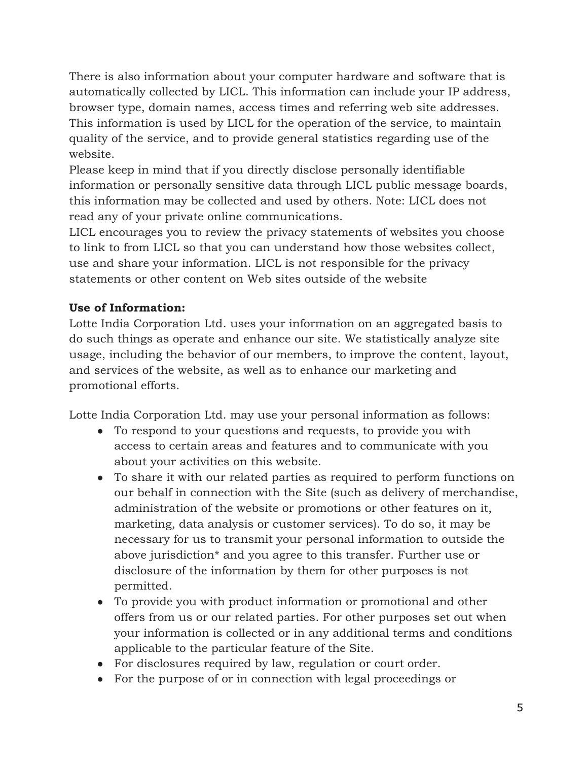There is also information about your computer hardware and software that is automatically collected by LICL. This information can include your IP address, browser type, domain names, access times and referring web site addresses. This information is used by LICL for the operation of the service, to maintain quality of the service, and to provide general statistics regarding use of the website.

Please keep in mind that if you directly disclose personally identifiable information or personally sensitive data through LICL public message boards, this information may be collected and used by others. Note: LICL does not read any of your private online communications.

LICL encourages you to review the privacy statements of websites you choose to link to from LICL so that you can understand how those websites collect, use and share your information. LICL is not responsible for the privacy statements or other content on Web sites outside of the website

# **Use of Information:**

Lotte India Corporation Ltd. uses your information on an aggregated basis to do such things as operate and enhance our site. We statistically analyze site usage, including the behavior of our members, to improve the content, layout, and services of the website, as well as to enhance our marketing and promotional efforts.

Lotte India Corporation Ltd. may use your personal information as follows:

- To respond to your questions and requests, to provide you with access to certain areas and features and to communicate with you about your activities on this website.
- To share it with our related parties as required to perform functions on our behalf in connection with the Site (such as delivery of merchandise, administration of the website or promotions or other features on it, marketing, data analysis or customer services). To do so, it may be necessary for us to transmit your personal information to outside the above jurisdiction\* and you agree to this transfer. Further use or disclosure of the information by them for other purposes is not permitted.
- To provide you with product information or promotional and other offers from us or our related parties. For other purposes set out when your information is collected or in any additional terms and conditions applicable to the particular feature of the Site.
- For disclosures required by law, regulation or court order.
- For the purpose of or in connection with legal proceedings or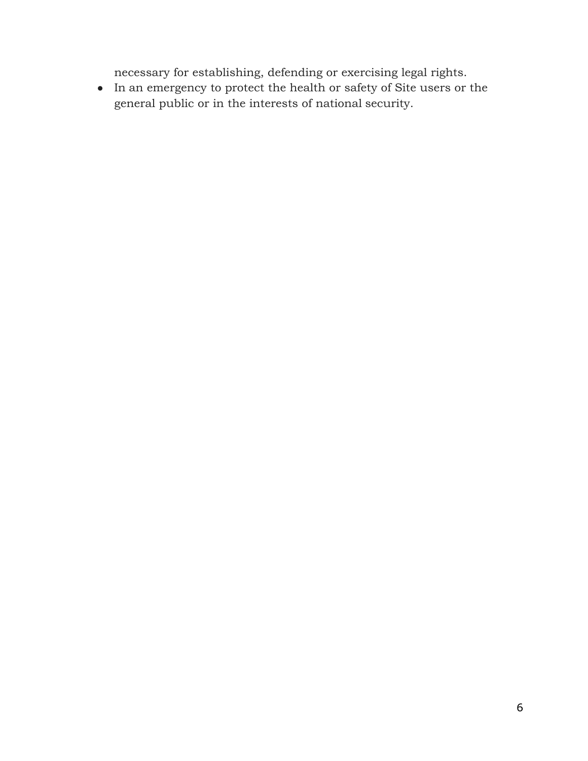necessary for establishing, defending or exercising legal rights.

 $\bullet$   $\;$  In an emergency to protect the health or safety of Site users or the general public or in the interests of national security.